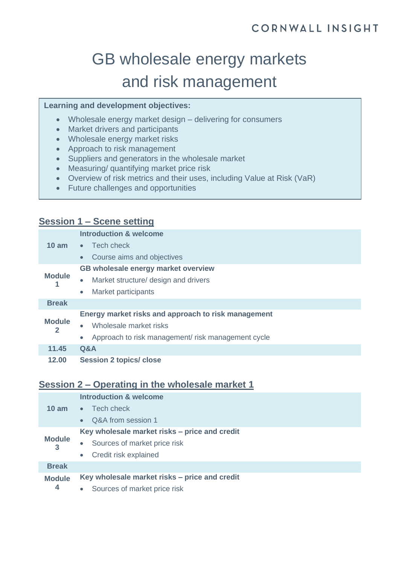# GB wholesale energy markets and risk management

#### **Learning and development objectives:**

- Wholesale energy market design delivering for consumers
- Market drivers and participants
- Wholesale energy market risks
- Approach to risk management
- Suppliers and generators in the wholesale market
- Measuring/ quantifying market price risk
- Overview of risk metrics and their uses, including Value at Risk (VaR)
- Future challenges and opportunities

### **Session 1 – Scene setting**

| $10 \text{ am}$    | <b>Introduction &amp; welcome</b>                              |
|--------------------|----------------------------------------------------------------|
|                    | Tech check<br>$\bullet$ .                                      |
|                    | Course aims and objectives<br>$\bullet$                        |
| <b>Module</b>      | GB wholesale energy market overview                            |
|                    | Market structure/ design and drivers<br>$\bullet$              |
|                    | Market participants<br>$\bullet$                               |
| <b>Break</b>       |                                                                |
|                    | Energy market risks and approach to risk management            |
| <b>Module</b><br>2 | Wholesale market risks<br>$\bullet$                            |
|                    | Approach to risk management/risk management cycle<br>$\bullet$ |
| 11.45              | Q&A                                                            |
| 12.00              | <b>Session 2 topics/ close</b>                                 |

#### **Session 2 – Operating in the wholesale market 1**

|                                 | <b>Introduction &amp; welcome</b>             |
|---------------------------------|-----------------------------------------------|
| $10 \text{ am}$                 | Tech check<br>$\bullet$                       |
|                                 | Q&A from session 1<br>$\bullet$               |
| <b>Module</b><br>3              | Key wholesale market risks - price and credit |
|                                 | Sources of market price risk<br>$\bullet$     |
|                                 | Credit risk explained<br>$\bullet$            |
| <b>Break</b>                    |                                               |
| <b>Module</b><br>$\overline{4}$ | Key wholesale market risks – price and credit |
|                                 | Sources of market price risk<br>$\bullet$     |